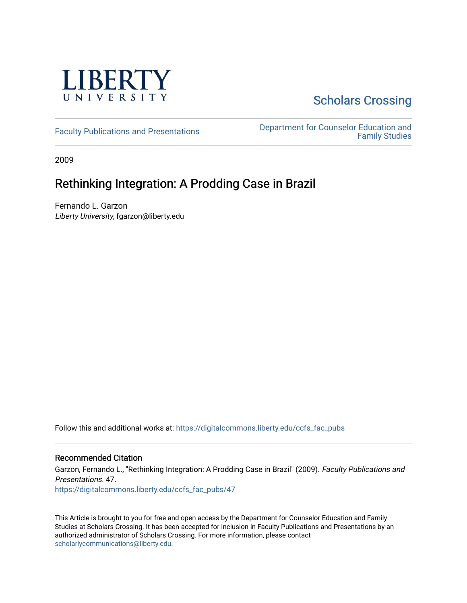

# **Scholars Crossing**

[Faculty Publications and Presentations](https://digitalcommons.liberty.edu/ccfs_fac_pubs) **Department for Counselor Education and** [Family Studies](https://digitalcommons.liberty.edu/ccfs) 

2009

# Rethinking Integration: A Prodding Case in Brazil

Fernando L. Garzon Liberty University, fgarzon@liberty.edu

Follow this and additional works at: [https://digitalcommons.liberty.edu/ccfs\\_fac\\_pubs](https://digitalcommons.liberty.edu/ccfs_fac_pubs?utm_source=digitalcommons.liberty.edu%2Fccfs_fac_pubs%2F47&utm_medium=PDF&utm_campaign=PDFCoverPages)

# Recommended Citation

Garzon, Fernando L., "Rethinking Integration: A Prodding Case in Brazil" (2009). Faculty Publications and Presentations. 47. [https://digitalcommons.liberty.edu/ccfs\\_fac\\_pubs/47](https://digitalcommons.liberty.edu/ccfs_fac_pubs/47?utm_source=digitalcommons.liberty.edu%2Fccfs_fac_pubs%2F47&utm_medium=PDF&utm_campaign=PDFCoverPages) 

This Article is brought to you for free and open access by the Department for Counselor Education and Family Studies at Scholars Crossing. It has been accepted for inclusion in Faculty Publications and Presentations by an authorized administrator of Scholars Crossing. For more information, please contact [scholarlycommunications@liberty.edu.](mailto:scholarlycommunications@liberty.edu)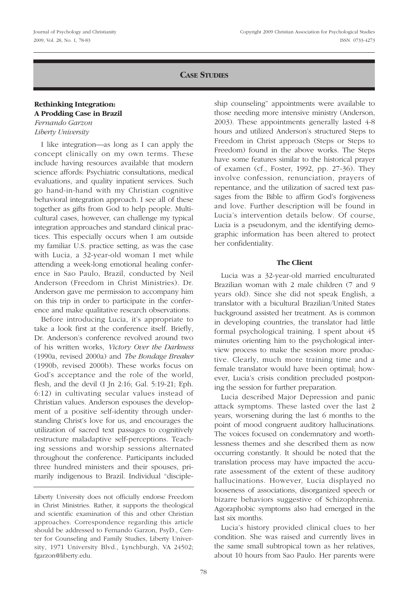# **CASE STUDIES**

### **Rethinking Integration: A Prodding Case in Brazil** *Fernando Garzon*

*Liberty University*

I like integration—as long as I can apply the concept clinically on my own terms. These include having resources available that modern science affords: Psychiatric consultations, medical evaluations, and quality inpatient services. Such go hand-in-hand with my Christian cognitive behavioral integration approach. I see all of these together as gifts from God to help people. Multicultural cases, however, can challenge my typical integration approaches and standard clinical practices. This especially occurs when I am outside my familiar U.S. practice setting, as was the case with Lucia, a 32-year-old woman I met while attending a week-long emotional healing conference in Sao Paulo, Brazil, conducted by Neil Anderson (Freedom in Christ Ministries). Dr. Anderson gave me permission to accompany him on this trip in order to participate in the conference and make qualitative research observations.

Before introducing Lucia, it's appropriate to take a look first at the conference itself. Briefly, Dr. Anderson's conference revolved around two of his written works, *Victory Over the Darkness* (1990a, revised 2000a) and *The Bondage Breaker* (1990b, revised 2000b). These works focus on God's acceptance and the role of the world, flesh, and the devil (I Jn 2:16; Gal. 5:19-21; Eph. 6:12) in cultivating secular values instead of Christian values. Anderson espouses the development of a positive self-identity through understanding Christ's love for us, and encourages the utilization of sacred text passages to cognitively restructure maladaptive self-perceptions. Teaching sessions and worship sessions alternated throughout the conference. Participants included three hundred ministers and their spouses, primarily indigenous to Brazil. Individual "discipleship counseling" appointments were available to those needing more intensive ministry (Anderson, 2003). These appointments generally lasted 4-8 hours and utilized Anderson's structured Steps to Freedom in Christ approach (Steps or Steps to Freedom) found in the above works. The Steps have some features similar to the historical prayer of examen (cf., Foster, 1992, pp. 27-36). They involve confession, renunciation, prayers of repentance, and the utilization of sacred text passages from the Bible to affirm God's forgiveness and love. Further description will be found in Lucia's intervention details below. Of course, Lucia is a pseudonym, and the identifying demographic information has been altered to protect her confidentiality.

## **The Client**

Lucia was a 32-year-old married enculturated Brazilian woman with 2 male children (7 and 9 years old). Since she did not speak English, a translator with a bicultural Brazilian/United States background assisted her treatment. As is common in developing countries, the translator had little formal psychological training. I spent about 45 minutes orienting him to the psychological interview process to make the session more productive. Clearly, much more training time and a female translator would have been optimal; however, Lucia's crisis condition precluded postponing the session for further preparation.

Lucia described Major Depression and panic attack symptoms. These lasted over the last 2 years, worsening during the last 6 months to the point of mood congruent auditory hallucinations. The voices focused on condemnatory and worthlessness themes and she described them as now occurring constantly. It should be noted that the translation process may have impacted the accurate assessment of the extent of these auditory hallucinations. However, Lucia displayed no looseness of associations, disorganized speech or bizarre behaviors suggestive of Schizophrenia. Agoraphobic symptoms also had emerged in the last six months.

Lucia's history provided clinical clues to her condition. She was raised and currently lives in the same small subtropical town as her relatives, about 10 hours from Sao Paulo. Her parents were

Liberty University does not officially endorse Freedom in Christ Ministries. Rather, it supports the theological and scientific examination of this and other Christian approaches. Correspondence regarding this article should be addressed to Fernando Garzon, PsyD., Center for Counseling and Family Studies, Liberty University, 1971 University Blvd., Lynchburgh, VA 24502; fgarzon@liberty.edu.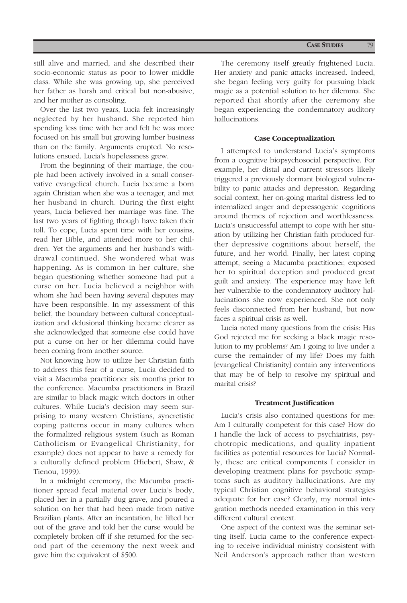still alive and married, and she described their socio-economic status as poor to lower middle class. While she was growing up, she perceived her father as harsh and critical but non-abusive, and her mother as consoling.

Over the last two years, Lucia felt increasingly neglected by her husband. She reported him spending less time with her and felt he was more focused on his small but growing lumber business than on the family. Arguments erupted. No resolutions ensued. Lucia's hopelessness grew.

From the beginning of their marriage, the couple had been actively involved in a small conservative evangelical church. Lucia became a born again Christian when she was a teenager, and met her husband in church. During the first eight years, Lucia believed her marriage was fine. The last two years of fighting though have taken their toll. To cope, Lucia spent time with her cousins, read her Bible, and attended more to her children. Yet the arguments and her husband's withdrawal continued. She wondered what was happening. As is common in her culture, she began questioning whether someone had put a curse on her. Lucia believed a neighbor with whom she had been having several disputes may have been responsible. In my assessment of this belief, the boundary between cultural conceptualization and delusional thinking became clearer as she acknowledged that someone else could have put a curse on her or her dilemma could have been coming from another source.

Not knowing how to utilize her Christian faith to address this fear of a curse, Lucia decided to visit a Macumba practitioner six months prior to the conference. Macumba practitioners in Brazil are similar to black magic witch doctors in other cultures. While Lucia's decision may seem surprising to many western Christians, syncretistic coping patterns occur in many cultures when the formalized religious system (such as Roman Catholicism or Evangelical Christianity, for example) does not appear to have a remedy for a culturally defined problem (Hiebert, Shaw, & Tienou, 1999).

In a midnight ceremony, the Macumba practitioner spread fecal material over Lucia's body, placed her in a partially dug grave, and poured a solution on her that had been made from native Brazilian plants. After an incantation, he lifted her out of the grave and told her the curse would be completely broken off if she returned for the second part of the ceremony the next week and gave him the equivalent of \$500.

The ceremony itself greatly frightened Lucia. Her anxiety and panic attacks increased. Indeed, she began feeling very guilty for pursuing black magic as a potential solution to her dilemma. She reported that shortly after the ceremony she began experiencing the condemnatory auditory hallucinations.

#### **Case Conceptualization**

I attempted to understand Lucia's symptoms from a cognitive biopsychosocial perspective. For example, her distal and current stressors likely triggered a previously dormant biological vulnerability to panic attacks and depression. Regarding social context, her on-going marital distress led to internalized anger and depressogenic cognitions around themes of rejection and worthlessness. Lucia's unsuccessful attempt to cope with her situation by utilizing her Christian faith produced further depressive cognitions about herself, the future, and her world. Finally, her latest coping attempt, seeing a Macumba practitioner, exposed her to spiritual deception and produced great guilt and anxiety. The experience may have left her vulnerable to the condemnatory auditory hallucinations she now experienced. She not only feels disconnected from her husband, but now faces a spiritual crisis as well.

Lucia noted many questions from the crisis: Has God rejected me for seeking a black magic resolution to my problems? Am I going to live under a curse the remainder of my life? Does my faith [evangelical Christianity] contain any interventions that may be of help to resolve my spiritual and marital crisis?

#### **Treatment Justification**

Lucia's crisis also contained questions for me: Am I culturally competent for this case? How do I handle the lack of access to psychiatrists, psychotropic medications, and quality inpatient facilities as potential resources for Lucia? Normally, these are critical components I consider in developing treatment plans for psychotic symptoms such as auditory hallucinations. Are my typical Christian cognitive behavioral strategies adequate for her case? Clearly, my normal integration methods needed examination in this very different cultural context.

One aspect of the context was the seminar setting itself. Lucia came to the conference expecting to receive individual ministry consistent with Neil Anderson's approach rather than western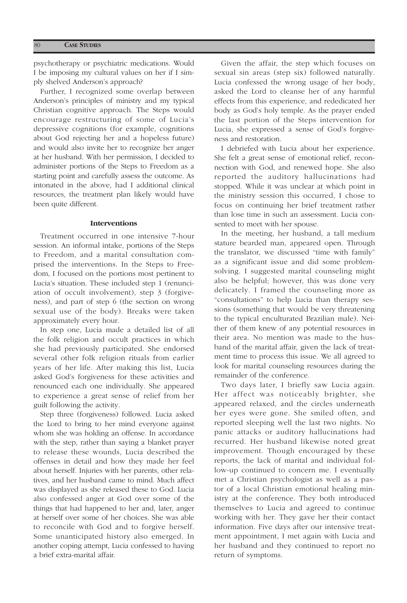psychotherapy or psychiatric medications. Would I be imposing my cultural values on her if I simply shelved Anderson's approach?

Further, I recognized some overlap between Anderson's principles of ministry and my typical Christian cognitive approach. The Steps would encourage restructuring of some of Lucia's depressive cognitions (for example, cognitions about God rejecting her and a hopeless future) and would also invite her to recognize her anger at her husband. With her permission, I decided to administer portions of the Steps to Freedom as a starting point and carefully assess the outcome. As intonated in the above, had I additional clinical resources, the treatment plan likely would have been quite different.

#### **Interventions**

Treatment occurred in one intensive 7-hour session. An informal intake, portions of the Steps to Freedom, and a marital consultation comprised the interventions. In the Steps to Freedom, I focused on the portions most pertinent to Lucia's situation. These included step 1 (renunciation of occult involvement), step 3 (forgiveness), and part of step 6 (the section on wrong sexual use of the body). Breaks were taken approximately every hour.

In step one, Lucia made a detailed list of all the folk religion and occult practices in which she had previously participated. She endorsed several other folk religion rituals from earlier years of her life. After making this list, Lucia asked God's forgiveness for these activities and renounced each one individually. She appeared to experience a great sense of relief from her guilt following the activity.

Step three (forgiveness) followed. Lucia asked the Lord to bring to her mind everyone against whom she was holding an offense. In accordance with the step, rather than saying a blanket prayer to release these wounds, Lucia described the offenses in detail and how they made her feel about herself. Injuries with her parents, other relatives, and her husband came to mind. Much affect was displayed as she released these to God. Lucia also confessed anger at God over some of the things that had happened to her and, later, anger at herself over some of her choices. She was able to reconcile with God and to forgive herself. Some unanticipated history also emerged. In another coping attempt, Lucia confessed to having a brief extra-marital affair.

Given the affair, the step which focuses on sexual sin areas (step six) followed naturally. Lucia confessed the wrong usage of her body, asked the Lord to cleanse her of any harmful effects from this experience, and rededicated her body as God's holy temple. As the prayer ended the last portion of the Steps intervention for Lucia, she expressed a sense of God's forgiveness and restoration.

I debriefed with Lucia about her experience. She felt a great sense of emotional relief, reconnection with God, and renewed hope. She also reported the auditory hallucinations had stopped. While it was unclear at which point in the ministry session this occurred, I chose to focus on continuing her brief treatment rather than lose time in such an assessment. Lucia consented to meet with her spouse.

In the meeting, her husband, a tall medium stature bearded man, appeared open. Through the translator, we discussed "time with family" as a significant issue and did some problemsolving. I suggested marital counseling might also be helpful; however, this was done very delicately. I framed the counseling more as "consultations" to help Lucia than therapy sessions (something that would be very threatening to the typical enculturated Brazilian male). Neither of them knew of any potential resources in their area. No mention was made to the husband of the marital affair, given the lack of treatment time to process this issue. We all agreed to look for marital counseling resources during the remainder of the conference.

Two days later, I briefly saw Lucia again. Her affect was noticeably brighter, she appeared relaxed, and the circles underneath her eyes were gone. She smiled often, and reported sleeping well the last two nights. No panic attacks or auditory hallucinations had recurred. Her husband likewise noted great improvement. Though encouraged by these reports, the lack of marital and individual follow-up continued to concern me. I eventually met a Christian psychologist as well as a pastor of a local Christian emotional healing ministry at the conference. They both introduced themselves to Lucia and agreed to continue working with her. They gave her their contact information. Five days after our intensive treatment appointment, I met again with Lucia and her husband and they continued to report no return of symptoms.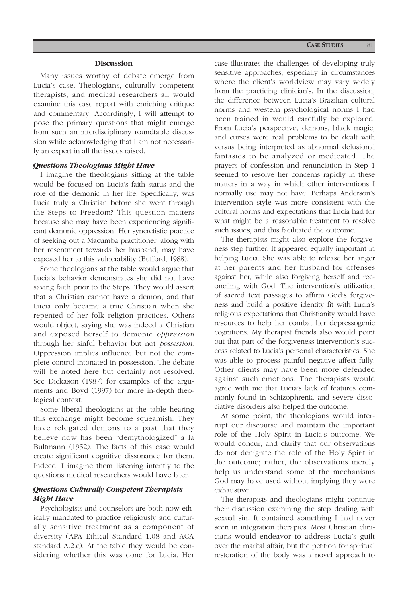#### **Discussion**

Many issues worthy of debate emerge from Lucia's case. Theologians, culturally competent therapists, and medical researchers all would examine this case report with enriching critique and commentary. Accordingly, I will attempt to pose the primary questions that might emerge from such an interdisciplinary roundtable discussion while acknowledging that I am not necessarily an expert in all the issues raised.

#### *Questions Theologians Might Have*

I imagine the theologians sitting at the table would be focused on Lucia's faith status and the role of the demonic in her life. Specifically, was Lucia truly a Christian before she went through the Steps to Freedom? This question matters because she may have been experiencing significant demonic oppression. Her syncretistic practice of seeking out a Macumba practitioner, along with her resentment towards her husband, may have exposed her to this vulnerability (Bufford, 1988).

Some theologians at the table would argue that Lucia's behavior demonstrates she did not have saving faith prior to the Steps. They would assert that a Christian cannot have a demon, and that Lucia only became a true Christian when she repented of her folk religion practices. Others would object, saying she was indeed a Christian and exposed herself to demonic *oppression* through her sinful behavior but not *possession*. Oppression implies influence but not the complete control intonated in possession. The debate will be noted here but certainly not resolved. See Dickason (1987) for examples of the arguments and Boyd (1997) for more in-depth theological context.

Some liberal theologians at the table hearing this exchange might become squeamish. They have relegated demons to a past that they believe now has been "demythologized" a la Bultmann (1952). The facts of this case would create significant cognitive dissonance for them. Indeed, I imagine them listening intently to the questions medical researchers would have later.

## *Questions Culturally Competent Therapists Might Have*

Psychologists and counselors are both now ethically mandated to practice religiously and culturally sensitive treatment as a component of diversity (APA Ethical Standard 1.08 and ACA standard A.2.c). At the table they would be considering whether this was done for Lucia. Her case illustrates the challenges of developing truly sensitive approaches, especially in circumstances where the client's worldview may vary widely from the practicing clinician's. In the discussion, the difference between Lucia's Brazilian cultural norms and western psychological norms I had been trained in would carefully be explored. From Lucia's perspective, demons, black magic, and curses were real problems to be dealt with versus being interpreted as abnormal delusional fantasies to be analyzed or medicated. The prayers of confession and renunciation in Step 1 seemed to resolve her concerns rapidly in these matters in a way in which other interventions I normally use may not have. Perhaps Anderson's intervention style was more consistent with the cultural norms and expectations that Lucia had for what might be a reasonable treatment to resolve such issues, and this facilitated the outcome.

The therapists might also explore the forgiveness step further. It appeared equally important in helping Lucia. She was able to release her anger at her parents and her husband for offenses against her, while also forgiving herself and reconciling with God. The intervention's utilization of sacred text passages to affirm God's forgiveness and build a positive identity fit with Lucia's religious expectations that Christianity would have resources to help her combat her depressogenic cognitions. My therapist friends also would point out that part of the forgiveness intervention's success related to Lucia's personal characteristics. She was able to process painful negative affect fully. Other clients may have been more defended against such emotions. The therapists would agree with me that Lucia's lack of features commonly found in Schizophrenia and severe dissociative disorders also helped the outcome.

At some point, the theologians would interrupt our discourse and maintain the important role of the Holy Spirit in Lucia's outcome. We would concur, and clarify that our observations do not denigrate the role of the Holy Spirit in the outcome; rather, the observations merely help us understand some of the mechanisms God may have used without implying they were exhaustive.

The therapists and theologians might continue their discussion examining the step dealing with sexual sin. It contained something I had never seen in integration therapies. Most Christian clinicians would endeavor to address Lucia's guilt over the marital affair, but the petition for spiritual restoration of the body was a novel approach to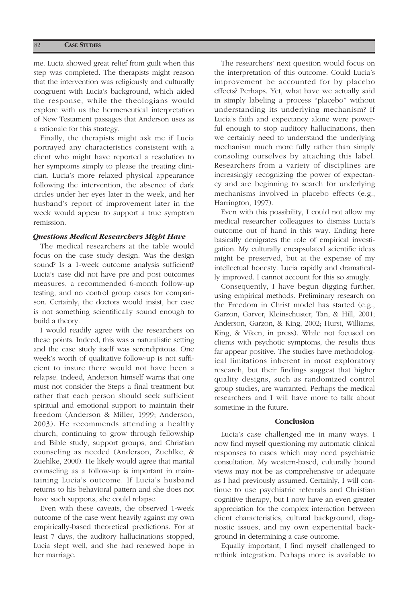me. Lucia showed great relief from guilt when this step was completed. The therapists might reason that the intervention was religiously and culturally congruent with Lucia's background, which aided the response, while the theologians would explore with us the hermeneutical interpretation of New Testament passages that Anderson uses as a rationale for this strategy.

Finally, the therapists might ask me if Lucia portrayed any characteristics consistent with a client who might have reported a resolution to her symptoms simply to please the treating clinician. Lucia's more relaxed physical appearance following the intervention, the absence of dark circles under her eyes later in the week, and her husband's report of improvement later in the week would appear to support a true symptom remission.

### *Questions Medical Researchers Might Have*

The medical researchers at the table would focus on the case study design. Was the design sound? Is a 1-week outcome analysis sufficient? Lucia's case did not have pre and post outcomes measures, a recommended 6-month follow-up testing, and no control group cases for comparison. Certainly, the doctors would insist, her case is not something scientifically sound enough to build a theory.

I would readily agree with the researchers on these points. Indeed, this was a naturalistic setting and the case study itself was serendipitous. One week's worth of qualitative follow-up is not sufficient to insure there would not have been a relapse. Indeed, Anderson himself warns that one must not consider the Steps a final treatment but rather that each person should seek sufficient spiritual and emotional support to maintain their freedom (Anderson & Miller, 1999; Anderson, 2003). He recommends attending a healthy church, continuing to grow through fellowship and Bible study, support groups, and Christian counseling as needed (Anderson, Zuehlke, & Zuehlke, 2000). He likely would agree that marital counseling as a follow-up is important in maintaining Lucia's outcome. If Lucia's husband returns to his behavioral pattern and she does not have such supports, she could relapse.

Even with these caveats, the observed 1-week outcome of the case went heavily against my own empirically-based theoretical predictions. For at least 7 days, the auditory hallucinations stopped, Lucia slept well, and she had renewed hope in her marriage.

The researchers' next question would focus on the interpretation of this outcome. Could Lucia's improvement be accounted for by placebo effects? Perhaps. Yet, what have we actually said in simply labeling a process "placebo" without understanding its underlying mechanism? If Lucia's faith and expectancy alone were powerful enough to stop auditory hallucinations, then we certainly need to understand the underlying mechanism much more fully rather than simply consoling ourselves by attaching this label. Researchers from a variety of disciplines are increasingly recognizing the power of expectancy and are beginning to search for underlying mechanisms involved in placebo effects (e.g., Harrington, 1997).

Even with this possibility, I could not allow my medical researcher colleagues to dismiss Lucia's outcome out of hand in this way. Ending here basically denigrates the role of empirical investigation. My culturally encapsulated scientific ideas might be preserved, but at the expense of my intellectual honesty. Lucia rapidly and dramatically improved. I cannot account for this so smugly.

Consequently, I have begun digging further, using empirical methods. Preliminary research on the Freedom in Christ model has started (e.g., Garzon, Garver, Kleinschuster, Tan, & Hill, 2001; Anderson, Garzon, & King, 2002; Hurst, Williams, King, & Viken, in press). While not focused on clients with psychotic symptoms, the results thus far appear positive. The studies have methodological limitations inherent in most exploratory research, but their findings suggest that higher quality designs, such as randomized control group studies, are warranted. Perhaps the medical researchers and I will have more to talk about sometime in the future.

#### **Conclusion**

Lucia's case challenged me in many ways. I now find myself questioning my automatic clinical responses to cases which may need psychiatric consultation. My western-based, culturally bound views may not be as comprehensive or adequate as I had previously assumed. Certainly, I will continue to use psychiatric referrals and Christian cognitive therapy, but I now have an even greater appreciation for the complex interaction between client characteristics, cultural background, diagnostic issues, and my own experiential background in determining a case outcome.

Equally important, I find myself challenged to rethink integration. Perhaps more is available to